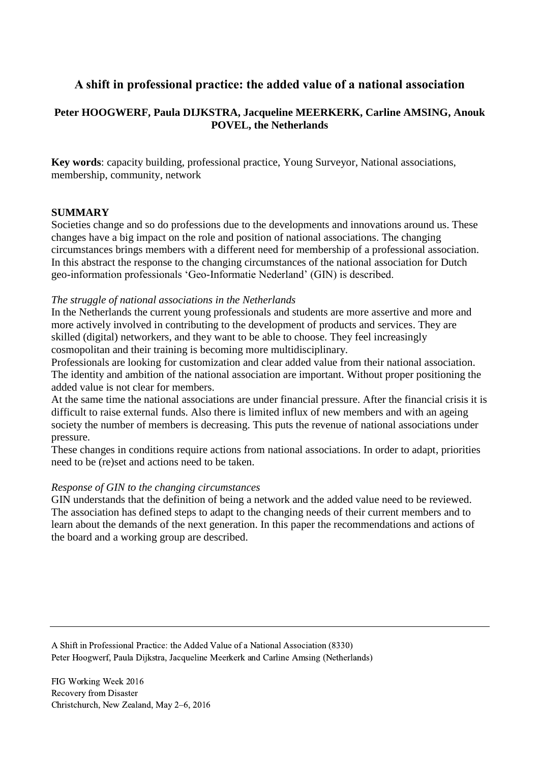# **A shift in professional practice: the added value of a national association**

# **Peter HOOGWERF, Paula DIJKSTRA, Jacqueline MEERKERK, Carline AMSING, Anouk POVEL, the Netherlands**

**Key words**: capacity building, professional practice, Young Surveyor, National associations, membership, community, network

## **SUMMARY**

Societies change and so do professions due to the developments and innovations around us. These changes have a big impact on the role and position of national associations. The changing circumstances brings members with a different need for membership of a professional association. In this abstract the response to the changing circumstances of the national association for Dutch geo-information professionals 'Geo-Informatie Nederland' (GIN) is described.

### *The struggle of national associations in the Netherlands*

In the Netherlands the current young professionals and students are more assertive and more and more actively involved in contributing to the development of products and services. They are skilled (digital) networkers, and they want to be able to choose. They feel increasingly cosmopolitan and their training is becoming more multidisciplinary.

Professionals are looking for customization and clear added value from their national association. The identity and ambition of the national association are important. Without proper positioning the added value is not clear for members.

At the same time the national associations are under financial pressure. After the financial crisis it is difficult to raise external funds. Also there is limited influx of new members and with an ageing society the number of members is decreasing. This puts the revenue of national associations under pressure.

These changes in conditions require actions from national associations. In order to adapt, priorities need to be (re)set and actions need to be taken.

#### *Response of GIN to the changing circumstances*

GIN understands that the definition of being a network and the added value need to be reviewed. The association has defined steps to adapt to the changing needs of their current members and to learn about the demands of the next generation. In this paper the recommendations and actions of the board and a working group are described.

A Shift in Professional Practice: the Added Value of a National Association (8330) Peter Hoogwerf, Paula Dijkstra, Jacqueline Meerkerk and Carline Amsing (Netherlands)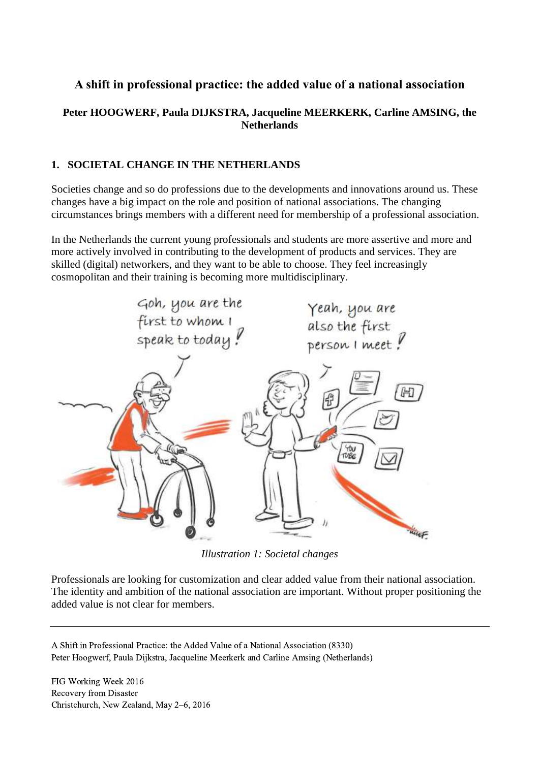# **A shift in professional practice: the added value of a national association**

# **Peter HOOGWERF, Paula DIJKSTRA, Jacqueline MEERKERK, Carline AMSING, the Netherlands**

# **1. SOCIETAL CHANGE IN THE NETHERLANDS**

Societies change and so do professions due to the developments and innovations around us. These changes have a big impact on the role and position of national associations. The changing circumstances brings members with a different need for membership of a professional association.

In the Netherlands the current young professionals and students are more assertive and more and more actively involved in contributing to the development of products and services. They are skilled (digital) networkers, and they want to be able to choose. They feel increasingly cosmopolitan and their training is becoming more multidisciplinary.



*Illustration 1: Societal changes*

Professionals are looking for customization and clear added value from their national association. The identity and ambition of the national association are important. Without proper positioning the added value is not clear for members.

A Shift in Professional Practice: the Added Value of a National Association (8330) Peter Hoogwerf, Paula Dijkstra, Jacqueline Meerkerk and Carline Amsing (Netherlands)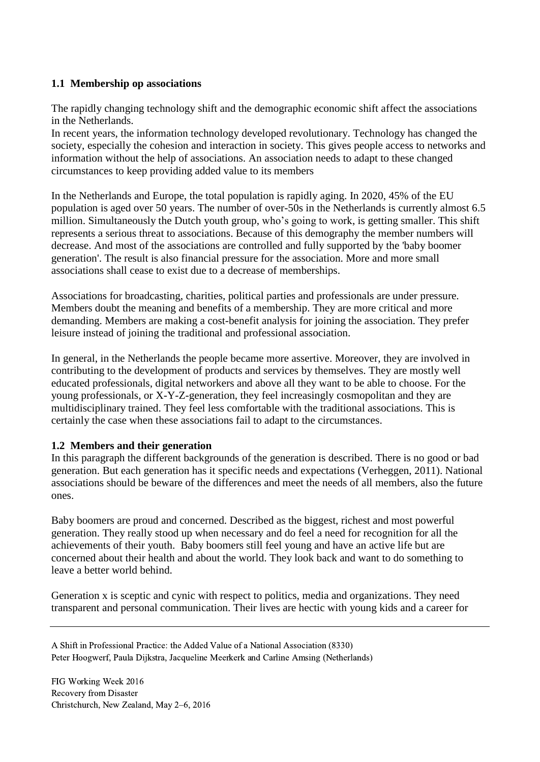# **1.1 Membership op associations**

The rapidly changing technology shift and the demographic economic shift affect the associations in the Netherlands.

In recent years, the information technology developed revolutionary. Technology has changed the society, especially the cohesion and interaction in society. This gives people access to networks and information without the help of associations. An association needs to adapt to these changed circumstances to keep providing added value to its members

In the Netherlands and Europe, the total population is rapidly aging. In 2020, 45% of the EU population is aged over 50 years. The number of over-50s in the Netherlands is currently almost 6.5 million. Simultaneously the Dutch youth group, who's going to work, is getting smaller. This shift represents a serious threat to associations. Because of this demography the member numbers will decrease. And most of the associations are controlled and fully supported by the 'baby boomer generation'. The result is also financial pressure for the association. More and more small associations shall cease to exist due to a decrease of memberships.

Associations for broadcasting, charities, political parties and professionals are under pressure. Members doubt the meaning and benefits of a membership. They are more critical and more demanding. Members are making a cost-benefit analysis for joining the association. They prefer leisure instead of joining the traditional and professional association.

In general, in the Netherlands the people became more assertive. Moreover, they are involved in contributing to the development of products and services by themselves. They are mostly well educated professionals, digital networkers and above all they want to be able to choose. For the young professionals, or X-Y-Z-generation, they feel increasingly cosmopolitan and they are multidisciplinary trained. They feel less comfortable with the traditional associations. This is certainly the case when these associations fail to adapt to the circumstances.

## **1.2 Members and their generation**

In this paragraph the different backgrounds of the generation is described. There is no good or bad generation. But each generation has it specific needs and expectations (Verheggen, 2011). National associations should be beware of the differences and meet the needs of all members, also the future ones.

Baby boomers are proud and concerned. Described as the biggest, richest and most powerful generation. They really stood up when necessary and do feel a need for recognition for all the achievements of their youth. Baby boomers still feel young and have an active life but are concerned about their health and about the world. They look back and want to do something to leave a better world behind.

Generation x is sceptic and cynic with respect to politics, media and organizations. They need transparent and personal communication. Their lives are hectic with young kids and a career for

A Shift in Professional Practice: the Added Value of a National Association (8330) Peter Hoogwerf, Paula Dijkstra, Jacqueline Meerkerk and Carline Amsing (Netherlands)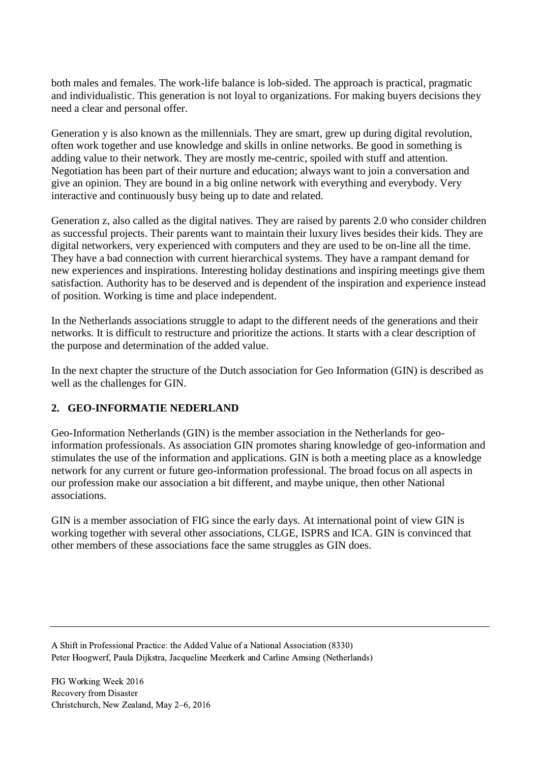both males and females. The work-life balance is lob-sided. The approach is practical, pragmatic and individualistic. This generation is not loyal to organizations. For making buyers decisions they need a clear and personal offer.

Generation y is also known as the millennials. They are smart, grew up during digital revolution, often work together and use knowledge and skills in online networks. Be good in something is adding value to their network. They are mostly me-centric, spoiled with stuff and attention. Negotiation has been part of their nurture and education; always want to join a conversation and give an opinion. They are bound in a big online network with everything and everybody. Very interactive and continuously busy being up to date and related.

Generation z, also called as the digital natives. They are raised by parents 2.0 who consider children as successful projects. Their parents want to maintain their luxury lives besides their kids. They are digital networkers, very experienced with computers and they are used to be on-line all the time. They have a bad connection with current hierarchical systems. They have a rampant demand for new experiences and inspirations. Interesting holiday destinations and inspiring meetings give them satisfaction. Authority has to be deserved and is dependent of the inspiration and experience instead of position. Working is time and place independent.

In the Netherlands associations struggle to adapt to the different needs of the generations and their networks. It is difficult to restructure and prioritize the actions. It starts with a clear description of the purpose and determination of the added value.

In the next chapter the structure of the Dutch association for Geo Information (GIN) is described as well as the challenges for GIN.

## **2. GEO-INFORMATIE NEDERLAND**

Geo-Information Netherlands (GIN) is the member association in the Netherlands for geoinformation professionals. As association GIN promotes sharing knowledge of geo-information and stimulates the use of the information and applications. GIN is both a meeting place as a knowledge network for any current or future geo-information professional. The broad focus on all aspects in our profession make our association a bit different, and maybe unique, then other National associations.

GIN is a member association of FIG since the early days. At international point of view GIN is working together with several other associations, CLGE, ISPRS and ICA. GIN is convinced that other members of these associations face the same struggles as GIN does.

A Shift in Professional Practice: the Added Value of a National Association (8330) Peter Hoogwerf, Paula Dijkstra, Jacqueline Meerkerk and Carline Amsing (Netherlands)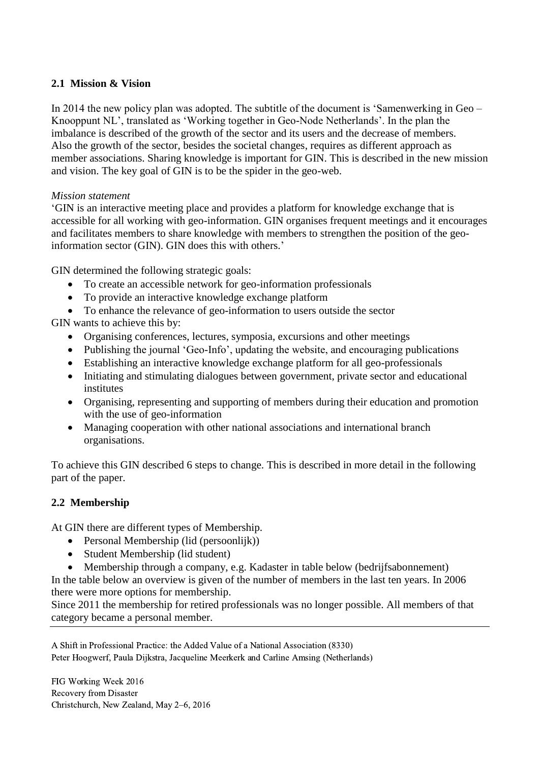## **2.1 Mission & Vision**

In 2014 the new policy plan was adopted. The subtitle of the document is 'Samenwerking in Geo – Knooppunt NL', translated as 'Working together in Geo-Node Netherlands'. In the plan the imbalance is described of the growth of the sector and its users and the decrease of members. Also the growth of the sector, besides the societal changes, requires as different approach as member associations. Sharing knowledge is important for GIN. This is described in the new mission and vision. The key goal of GIN is to be the spider in the geo-web.

## *Mission statement*

'GIN is an interactive meeting place and provides a platform for knowledge exchange that is accessible for all working with geo-information. GIN organises frequent meetings and it encourages and facilitates members to share knowledge with members to strengthen the position of the geoinformation sector (GIN). GIN does this with others.'

GIN determined the following strategic goals:

- To create an accessible network for geo-information professionals
- To provide an interactive knowledge exchange platform
- To enhance the relevance of geo-information to users outside the sector

GIN wants to achieve this by:

- Organising conferences, lectures, symposia, excursions and other meetings
- Publishing the journal 'Geo-Info', updating the website, and encouraging publications
- Establishing an interactive knowledge exchange platform for all geo-professionals
- Initiating and stimulating dialogues between government, private sector and educational institutes
- Organising, representing and supporting of members during their education and promotion with the use of geo-information
- Managing cooperation with other national associations and international branch organisations.

To achieve this GIN described 6 steps to change. This is described in more detail in the following part of the paper.

## **2.2 Membership**

At GIN there are different types of Membership.

- Personal Membership (lid (persoonlijk))
- Student Membership (lid student)
- Membership through a company, e.g. Kadaster in table below (bedrijfsabonnement)

In the table below an overview is given of the number of members in the last ten years. In 2006 there were more options for membership.

Since 2011 the membership for retired professionals was no longer possible. All members of that category became a personal member.

A Shift in Professional Practice: the Added Value of a National Association (8330) Peter Hoogwerf, Paula Dijkstra, Jacqueline Meerkerk and Carline Amsing (Netherlands)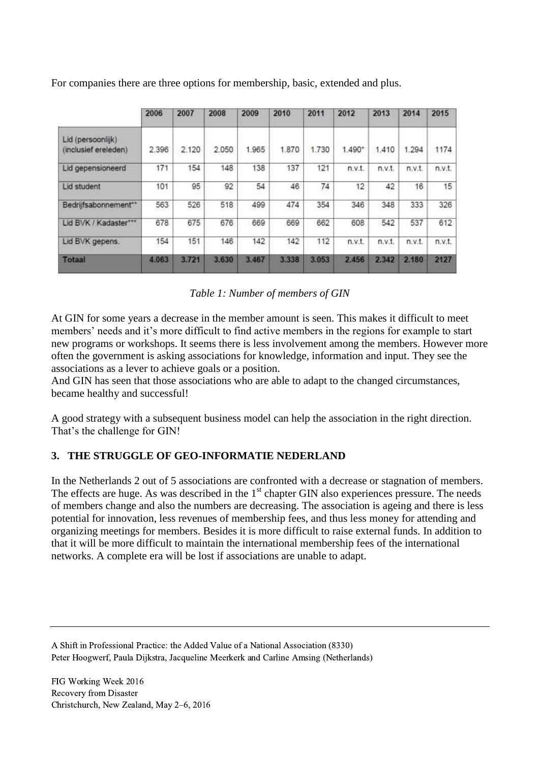|                                           | 2006  | 2007  | 2008  | 2009  | 2010  | 2011  | 2012   | 2013   | 2014   | 2015            |
|-------------------------------------------|-------|-------|-------|-------|-------|-------|--------|--------|--------|-----------------|
| Lid (persoonlijk)<br>(inclusief ereleden) | 2.396 | 2.120 | 2.050 | 1.965 | 1.870 | 1.730 | 1.490* | 1,410  | 1.294  | 1174            |
| Lid gepensioneerd                         | 171   | 154   | 148   | 138   | 137   | 121   | n.v.t. | n.v.t. | n.v.t. | n.v.t.          |
| Lid student                               | 101   | 95    | 92    | 54    | 46    | 74    | 12     | 42     | 16     | 15 <sub>2</sub> |
| Bedrijfsabonnement**                      | 563   | 526   | 518   | 499   | 474   | 354   | 346    | 348    | 333    | 326             |
| Lid BVK / Kadaster***                     | 678   | 675   | 676   | 669   | 669   | 662   | 608    | 542    | 537    | 612             |
| Lid BVK gepens.                           | 154   | 151   | 146   | 142   | 142   | 112   | n.v.t. | n.v.t. | n.v.t. | n.v.t.          |
| <b>Totaal</b>                             | 4.063 | 3.721 | 3.630 | 3.467 | 3.338 | 3,053 | 2,456  | 2.342  | 2,180  | 2127            |

For companies there are three options for membership, basic, extended and plus.

## *Table 1: Number of members of GIN*

At GIN for some years a decrease in the member amount is seen. This makes it difficult to meet members' needs and it's more difficult to find active members in the regions for example to start new programs or workshops. It seems there is less involvement among the members. However more often the government is asking associations for knowledge, information and input. They see the associations as a lever to achieve goals or a position.

And GIN has seen that those associations who are able to adapt to the changed circumstances, became healthy and successful!

A good strategy with a subsequent business model can help the association in the right direction. That's the challenge for GIN!

# **3. THE STRUGGLE OF GEO-INFORMATIE NEDERLAND**

In the Netherlands 2 out of 5 associations are confronted with a decrease or stagnation of members. The effects are huge. As was described in the  $1<sup>st</sup>$  chapter GIN also experiences pressure. The needs of members change and also the numbers are decreasing. The association is ageing and there is less potential for innovation, less revenues of membership fees, and thus less money for attending and organizing meetings for members. Besides it is more difficult to raise external funds. In addition to that it will be more difficult to maintain the international membership fees of the international networks. A complete era will be lost if associations are unable to adapt.

A Shift in Professional Practice: the Added Value of a National Association (8330) Peter Hoogwerf, Paula Dijkstra, Jacqueline Meerkerk and Carline Amsing (Netherlands)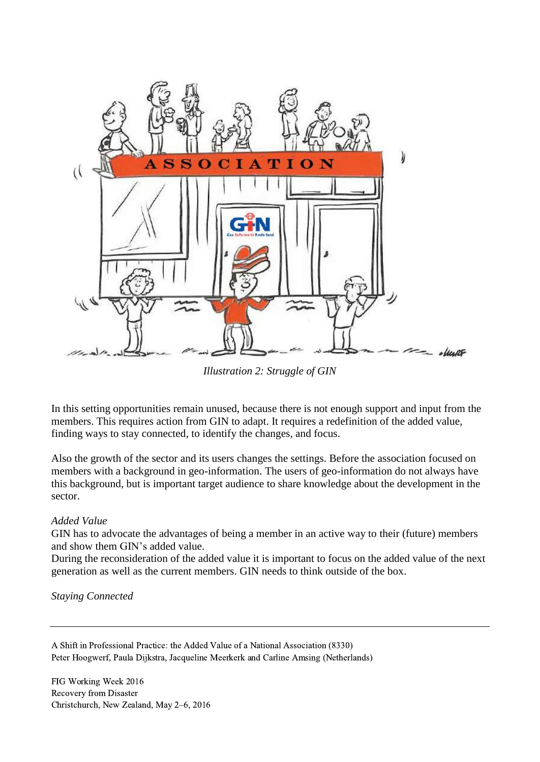

*Illustration 2: Struggle of GIN*

In this setting opportunities remain unused, because there is not enough support and input from the members. This requires action from GIN to adapt. It requires a redefinition of the added value, finding ways to stay connected, to identify the changes, and focus.

Also the growth of the sector and its users changes the settings. Before the association focused on members with a background in geo-information. The users of geo-information do not always have this background, but is important target audience to share knowledge about the development in the sector.

## *Added Value*

GIN has to advocate the advantages of being a member in an active way to their (future) members and show them GIN's added value.

During the reconsideration of the added value it is important to focus on the added value of the next generation as well as the current members. GIN needs to think outside of the box.

*Staying Connected*

A Shift in Professional Practice: the Added Value of a National Association (8330) Peter Hoogwerf, Paula Dijkstra, Jacqueline Meerkerk and Carline Amsing (Netherlands)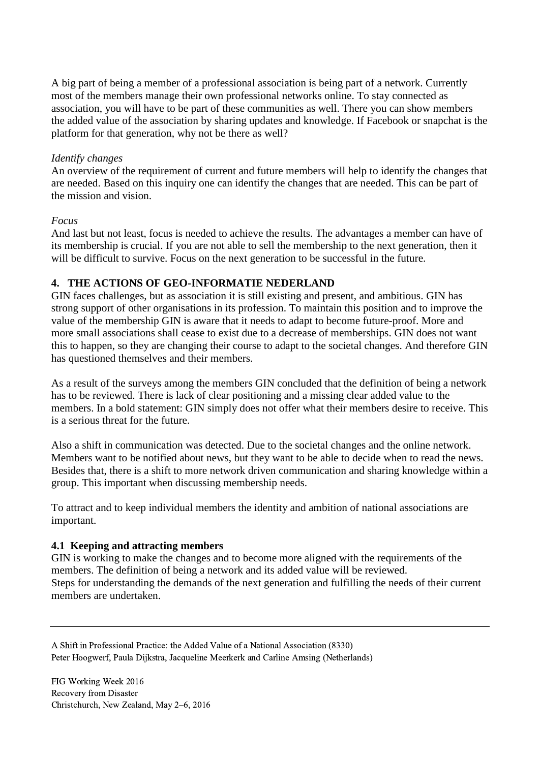A big part of being a member of a professional association is being part of a network. Currently most of the members manage their own professional networks online. To stay connected as association, you will have to be part of these communities as well. There you can show members the added value of the association by sharing updates and knowledge. If Facebook or snapchat is the platform for that generation, why not be there as well?

### *Identify changes*

An overview of the requirement of current and future members will help to identify the changes that are needed. Based on this inquiry one can identify the changes that are needed. This can be part of the mission and vision.

### *Focus*

And last but not least, focus is needed to achieve the results. The advantages a member can have of its membership is crucial. If you are not able to sell the membership to the next generation, then it will be difficult to survive. Focus on the next generation to be successful in the future.

### **4. THE ACTIONS OF GEO-INFORMATIE NEDERLAND**

GIN faces challenges, but as association it is still existing and present, and ambitious. GIN has strong support of other organisations in its profession. To maintain this position and to improve the value of the membership GIN is aware that it needs to adapt to become future-proof. More and more small associations shall cease to exist due to a decrease of memberships. GIN does not want this to happen, so they are changing their course to adapt to the societal changes. And therefore GIN has questioned themselves and their members.

As a result of the surveys among the members GIN concluded that the definition of being a network has to be reviewed. There is lack of clear positioning and a missing clear added value to the members. In a bold statement: GIN simply does not offer what their members desire to receive. This is a serious threat for the future.

Also a shift in communication was detected. Due to the societal changes and the online network. Members want to be notified about news, but they want to be able to decide when to read the news. Besides that, there is a shift to more network driven communication and sharing knowledge within a group. This important when discussing membership needs.

To attract and to keep individual members the identity and ambition of national associations are important.

#### **4.1 Keeping and attracting members**

GIN is working to make the changes and to become more aligned with the requirements of the members. The definition of being a network and its added value will be reviewed. Steps for understanding the demands of the next generation and fulfilling the needs of their current members are undertaken.

A Shift in Professional Practice: the Added Value of a National Association (8330) Peter Hoogwerf, Paula Dijkstra, Jacqueline Meerkerk and Carline Amsing (Netherlands)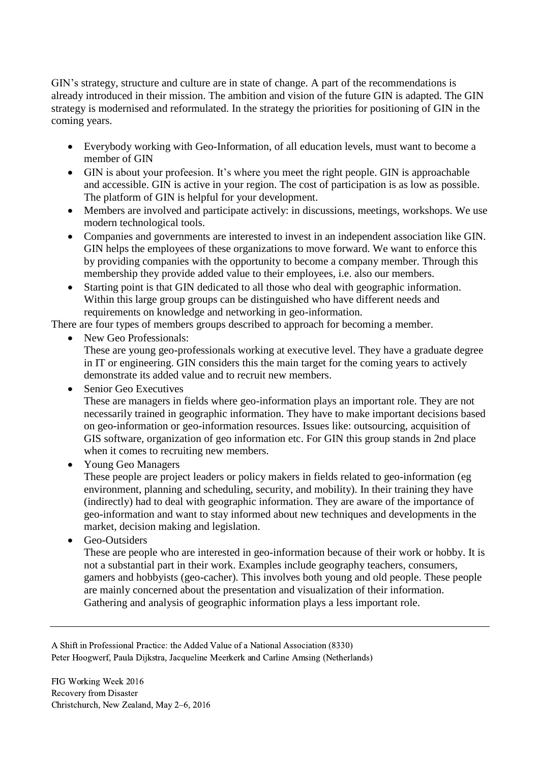GIN's strategy, structure and culture are in state of change. A part of the recommendations is already introduced in their mission. The ambition and vision of the future GIN is adapted. The GIN strategy is modernised and reformulated. In the strategy the priorities for positioning of GIN in the coming years.

- Everybody working with Geo-Information, of all education levels, must want to become a member of GIN
- GIN is about your profeesion. It's where you meet the right people. GIN is approachable and accessible. GIN is active in your region. The cost of participation is as low as possible. The platform of GIN is helpful for your development.
- Members are involved and participate actively: in discussions, meetings, workshops. We use modern technological tools.
- Companies and governments are interested to invest in an independent association like GIN. GIN helps the employees of these organizations to move forward. We want to enforce this by providing companies with the opportunity to become a company member. Through this membership they provide added value to their employees, i.e. also our members.
- Starting point is that GIN dedicated to all those who deal with geographic information. Within this large group groups can be distinguished who have different needs and requirements on knowledge and networking in geo-information.

There are four types of members groups described to approach for becoming a member.

 New Geo Professionals: These are young geo-professionals working at executive level. They have a graduate degree

in IT or engineering. GIN considers this the main target for the coming years to actively demonstrate its added value and to recruit new members.

• Senior Geo Executives

These are managers in fields where geo-information plays an important role. They are not necessarily trained in geographic information. They have to make important decisions based on geo-information or geo-information resources. Issues like: outsourcing, acquisition of GIS software, organization of geo information etc. For GIN this group stands in 2nd place when it comes to recruiting new members.

• Young Geo Managers

These people are project leaders or policy makers in fields related to geo-information (eg environment, planning and scheduling, security, and mobility). In their training they have (indirectly) had to deal with geographic information. They are aware of the importance of geo-information and want to stay informed about new techniques and developments in the market, decision making and legislation.

• Geo-Outsiders

These are people who are interested in geo-information because of their work or hobby. It is not a substantial part in their work. Examples include geography teachers, consumers, gamers and hobbyists (geo-cacher). This involves both young and old people. These people are mainly concerned about the presentation and visualization of their information. Gathering and analysis of geographic information plays a less important role.

A Shift in Professional Practice: the Added Value of a National Association (8330) Peter Hoogwerf, Paula Dijkstra, Jacqueline Meerkerk and Carline Amsing (Netherlands)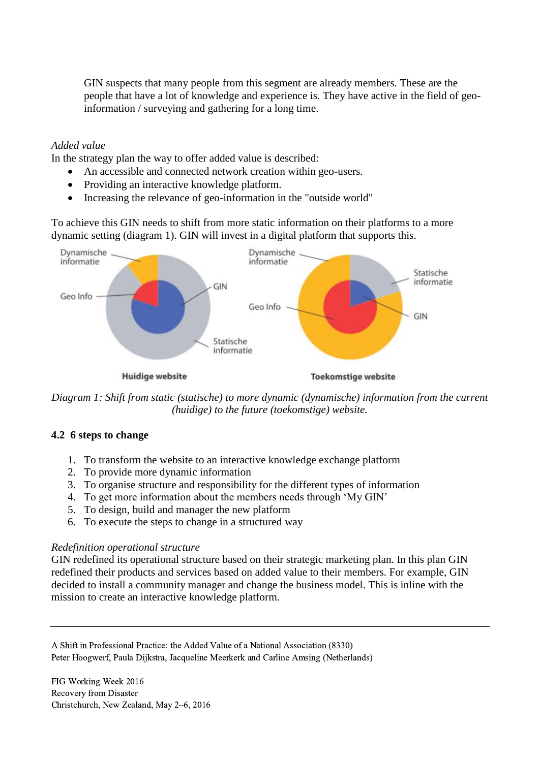GIN suspects that many people from this segment are already members. These are the people that have a lot of knowledge and experience is. They have active in the field of geoinformation / surveying and gathering for a long time.

### *Added value*

In the strategy plan the way to offer added value is described:

- An accessible and connected network creation within geo-users.
- Providing an interactive knowledge platform.
- Increasing the relevance of geo-information in the "outside world"

To achieve this GIN needs to shift from more static information on their platforms to a more dynamic setting (diagram 1). GIN will invest in a digital platform that supports this.



*Diagram 1: Shift from static (statische) to more dynamic (dynamische) information from the current (huidige) to the future (toekomstige) website.* 

## **4.2 6 steps to change**

- 1. To transform the website to an interactive knowledge exchange platform
- 2. To provide more dynamic information
- 3. To organise structure and responsibility for the different types of information
- 4. To get more information about the members needs through 'My GIN'
- 5. To design, build and manager the new platform
- 6. To execute the steps to change in a structured way

#### *Redefinition operational structure*

GIN redefined its operational structure based on their strategic marketing plan. In this plan GIN redefined their products and services based on added value to their members. For example, GIN decided to install a community manager and change the business model. This is inline with the mission to create an interactive knowledge platform.

A Shift in Professional Practice: the Added Value of a National Association (8330) Peter Hoogwerf, Paula Dijkstra, Jacqueline Meerkerk and Carline Amsing (Netherlands)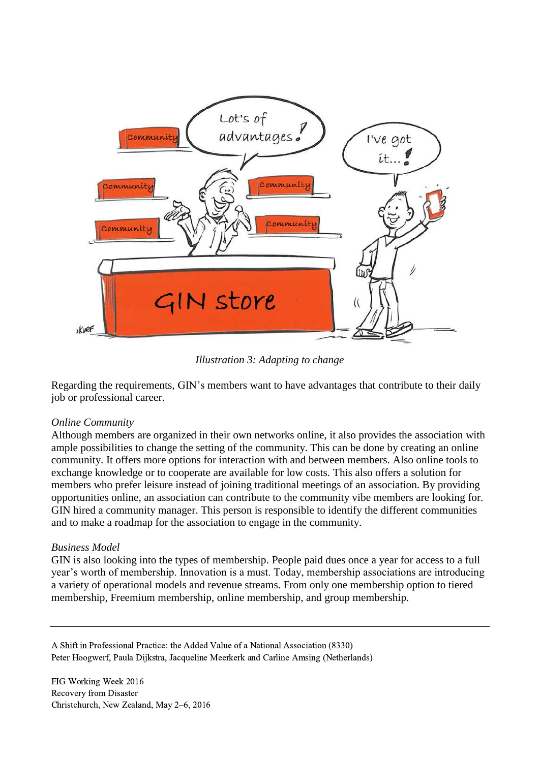

*Illustration 3: Adapting to change*

Regarding the requirements, GIN's members want to have advantages that contribute to their daily job or professional career.

#### *Online Community*

Although members are organized in their own networks online, it also provides the association with ample possibilities to change the setting of the community. This can be done by creating an online community. It offers more options for interaction with and between members. Also online tools to exchange knowledge or to cooperate are available for low costs. This also offers a solution for members who prefer leisure instead of joining traditional meetings of an association. By providing opportunities online, an association can contribute to the community vibe members are looking for. GIN hired a community manager. This person is responsible to identify the different communities and to make a roadmap for the association to engage in the community.

#### *Business Model*

GIN is also looking into the types of membership. People paid dues once a year for access to a full year's worth of membership. Innovation is a must. Today, membership associations are introducing a variety of operational models and revenue streams. From only one membership option to tiered membership, Freemium membership, online membership, and group membership.

A Shift in Professional Practice: the Added Value of a National Association (8330) Peter Hoogwerf, Paula Dijkstra, Jacqueline Meerkerk and Carline Amsing (Netherlands)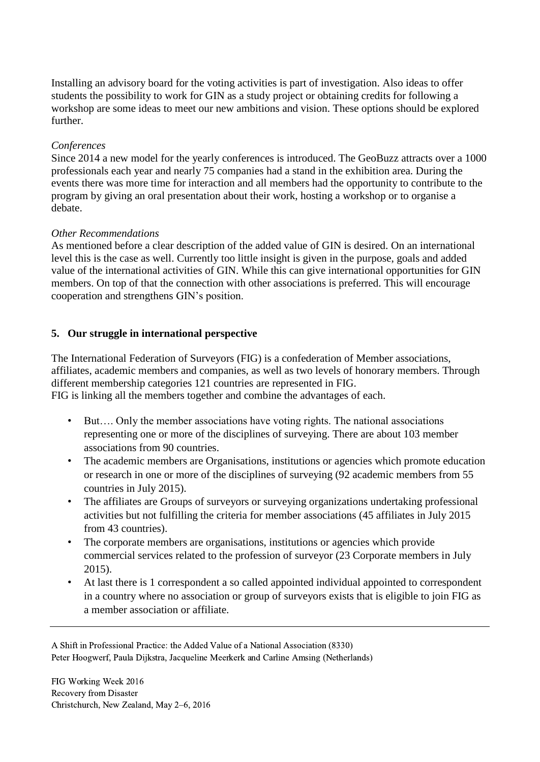Installing an advisory board for the voting activities is part of investigation. Also ideas to offer students the possibility to work for GIN as a study project or obtaining credits for following a workshop are some ideas to meet our new ambitions and vision. These options should be explored further.

## *Conferences*

Since 2014 a new model for the yearly conferences is introduced. The GeoBuzz attracts over a 1000 professionals each year and nearly 75 companies had a stand in the exhibition area. During the events there was more time for interaction and all members had the opportunity to contribute to the program by giving an oral presentation about their work, hosting a workshop or to organise a debate.

### *Other Recommendations*

As mentioned before a clear description of the added value of GIN is desired. On an international level this is the case as well. Currently too little insight is given in the purpose, goals and added value of the international activities of GIN. While this can give international opportunities for GIN members. On top of that the connection with other associations is preferred. This will encourage cooperation and strengthens GIN's position.

## **5. Our struggle in international perspective**

The International Federation of Surveyors (FIG) is a confederation of Member associations, affiliates, academic members and companies, as well as two levels of honorary members. Through different membership categories 121 countries are represented in FIG.

FIG is linking all the members together and combine the advantages of each.

- But.... Only the member associations have voting rights. The national associations representing one or more of the disciplines of surveying. There are about 103 member associations from 90 countries.
- The academic members are Organisations, institutions or agencies which promote education or research in one or more of the disciplines of surveying (92 academic members from 55 countries in July 2015).
- The affiliates are Groups of surveyors or surveying organizations undertaking professional activities but not fulfilling the criteria for member associations (45 affiliates in July 2015 from 43 countries).
- The corporate members are organisations, institutions or agencies which provide commercial services related to the profession of surveyor (23 Corporate members in July 2015).
- At last there is 1 correspondent a so called appointed individual appointed to correspondent in a country where no association or group of surveyors exists that is eligible to join FIG as a member association or affiliate.

A Shift in Professional Practice: the Added Value of a National Association (8330) Peter Hoogwerf, Paula Dijkstra, Jacqueline Meerkerk and Carline Amsing (Netherlands)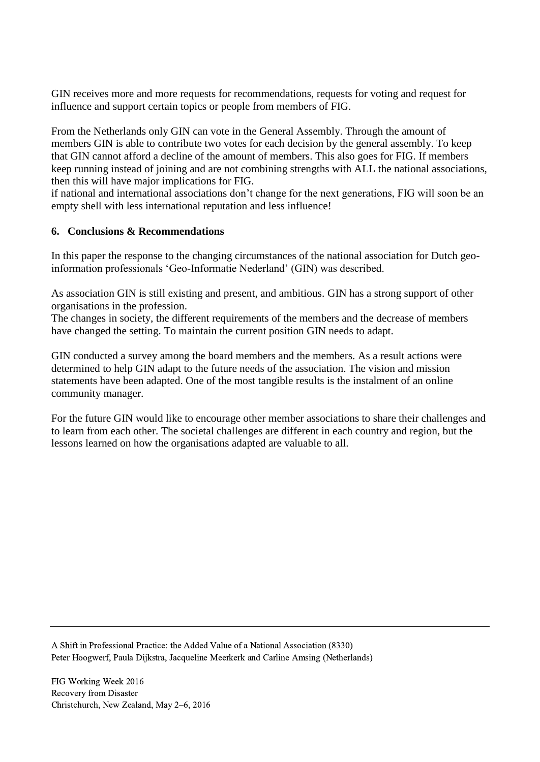GIN receives more and more requests for recommendations, requests for voting and request for influence and support certain topics or people from members of FIG.

From the Netherlands only GIN can vote in the General Assembly. Through the amount of members GIN is able to contribute two votes for each decision by the general assembly. To keep that GIN cannot afford a decline of the amount of members. This also goes for FIG. If members keep running instead of joining and are not combining strengths with ALL the national associations, then this will have major implications for FIG.

if national and international associations don't change for the next generations, FIG will soon be an empty shell with less international reputation and less influence!

## **6. Conclusions & Recommendations**

In this paper the response to the changing circumstances of the national association for Dutch geoinformation professionals 'Geo-Informatie Nederland' (GIN) was described.

As association GIN is still existing and present, and ambitious. GIN has a strong support of other organisations in the profession.

The changes in society, the different requirements of the members and the decrease of members have changed the setting. To maintain the current position GIN needs to adapt.

GIN conducted a survey among the board members and the members. As a result actions were determined to help GIN adapt to the future needs of the association. The vision and mission statements have been adapted. One of the most tangible results is the instalment of an online community manager.

For the future GIN would like to encourage other member associations to share their challenges and to learn from each other. The societal challenges are different in each country and region, but the lessons learned on how the organisations adapted are valuable to all.

A Shift in Professional Practice: the Added Value of a National Association (8330) Peter Hoogwerf, Paula Dijkstra, Jacqueline Meerkerk and Carline Amsing (Netherlands)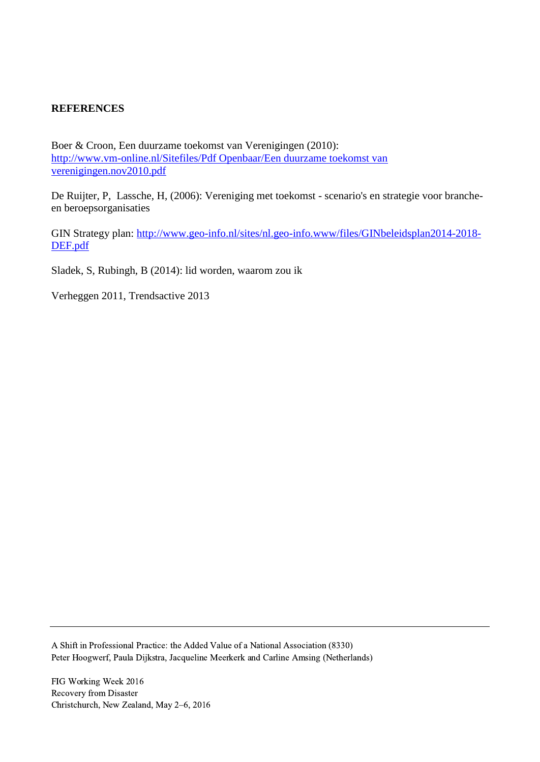## **REFERENCES**

Boer & Croon, Een duurzame toekomst van Verenigingen (2010): [http://www.vm-online.nl/Sitefiles/Pdf Openbaar/Een duurzame toekomst van](http://www.vm-online.nl/Sitefiles/Pdf%20Openbaar/Een%20duurzame%20toekomst%20van%20verenigingen.nov2010.pdf)  [verenigingen.nov2010.pdf](http://www.vm-online.nl/Sitefiles/Pdf%20Openbaar/Een%20duurzame%20toekomst%20van%20verenigingen.nov2010.pdf)

De Ruijter, P, Lassche, H, (2006): Vereniging met toekomst - scenario's en strategie voor brancheen beroepsorganisaties

GIN Strategy plan: [http://www.geo-info.nl/sites/nl.geo-info.www/files/GINbeleidsplan2014-2018-](http://www.geo-info.nl/sites/nl.geo-info.www/files/GINbeleidsplan2014-2018-DEF.pdf) [DEF.pdf](http://www.geo-info.nl/sites/nl.geo-info.www/files/GINbeleidsplan2014-2018-DEF.pdf)

Sladek, S, Rubingh, B (2014): lid worden, waarom zou ik

Verheggen 2011, Trendsactive 2013

A Shift in Professional Practice: the Added Value of a National Association (8330) Peter Hoogwerf, Paula Dijkstra, Jacqueline Meerkerk and Carline Amsing (Netherlands)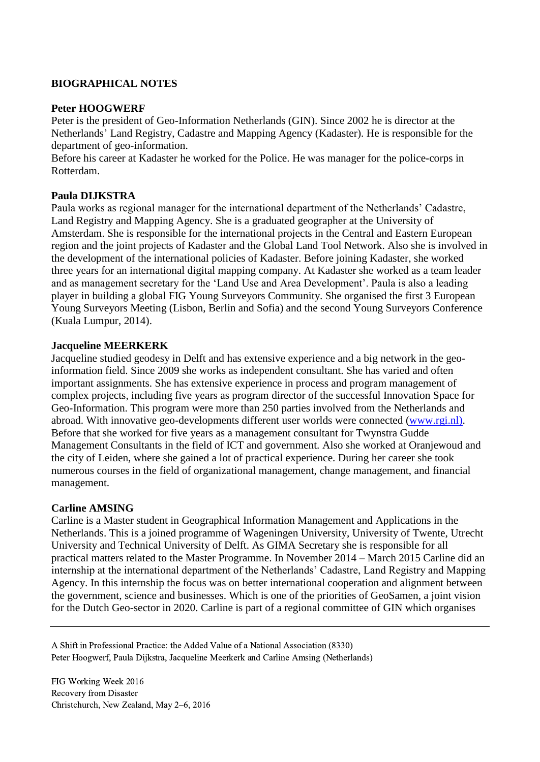# **BIOGRAPHICAL NOTES**

### **Peter HOOGWERF**

Peter is the president of Geo-Information Netherlands (GIN). Since 2002 he is director at the Netherlands' Land Registry, Cadastre and Mapping Agency (Kadaster). He is responsible for the department of geo-information.

Before his career at Kadaster he worked for the Police. He was manager for the police-corps in Rotterdam.

### **Paula DIJKSTRA**

Paula works as regional manager for the international department of the Netherlands' Cadastre, Land Registry and Mapping Agency. She is a graduated geographer at the University of Amsterdam. She is responsible for the international projects in the Central and Eastern European region and the joint projects of Kadaster and the Global Land Tool Network. Also she is involved in the development of the international policies of Kadaster. Before joining Kadaster, she worked three years for an international digital mapping company. At Kadaster she worked as a team leader and as management secretary for the 'Land Use and Area Development'. Paula is also a leading player in building a global FIG Young Surveyors Community. She organised the first 3 European Young Surveyors Meeting (Lisbon, Berlin and Sofia) and the second Young Surveyors Conference (Kuala Lumpur, 2014).

#### **Jacqueline MEERKERK**

Jacqueline studied geodesy in Delft and has extensive experience and a big network in the geoinformation field. Since 2009 she works as independent consultant. She has varied and often important assignments. She has extensive experience in process and program management of complex projects, including five years as program director of the successful Innovation Space for Geo-Information. This program were more than 250 parties involved from the Netherlands and abroad. With innovative geo-developments different user worlds were connected [\(www.rgi.nl\).](http://www.rgi.nl)/) Before that she worked for five years as a management consultant for Twynstra Gudde Management Consultants in the field of ICT and government. Also she worked at Oranjewoud and the city of Leiden, where she gained a lot of practical experience. During her career she took numerous courses in the field of organizational management, change management, and financial management.

#### **Carline AMSING**

Carline is a Master student in Geographical Information Management and Applications in the Netherlands. This is a joined programme of Wageningen University, University of Twente, Utrecht University and Technical University of Delft. As GIMA Secretary she is responsible for all practical matters related to the Master Programme. In November 2014 – March 2015 Carline did an internship at the international department of the Netherlands' Cadastre, Land Registry and Mapping Agency. In this internship the focus was on better international cooperation and alignment between the government, science and businesses. Which is one of the priorities of GeoSamen, a joint vision for the Dutch Geo-sector in 2020. Carline is part of a regional committee of GIN which organises

A Shift in Professional Practice: the Added Value of a National Association (8330) Peter Hoogwerf, Paula Dijkstra, Jacqueline Meerkerk and Carline Amsing (Netherlands)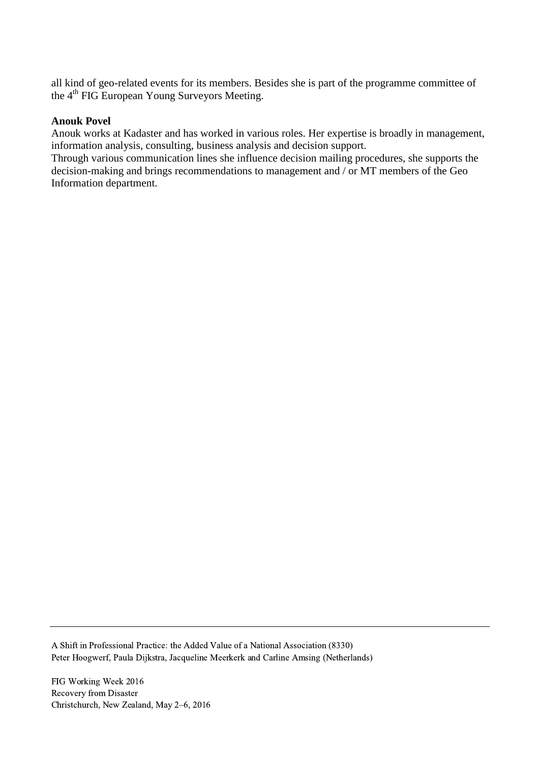all kind of geo-related events for its members. Besides she is part of the programme committee of the 4<sup>th</sup> FIG European Young Surveyors Meeting.

#### **Anouk Povel**

Anouk works at Kadaster and has worked in various roles. Her expertise is broadly in management, information analysis, consulting, business analysis and decision support.

Through various communication lines she influence decision mailing procedures, she supports the decision-making and brings recommendations to management and / or MT members of the Geo Information department.

A Shift in Professional Practice: the Added Value of a National Association (8330) Peter Hoogwerf, Paula Dijkstra, Jacqueline Meerkerk and Carline Amsing (Netherlands)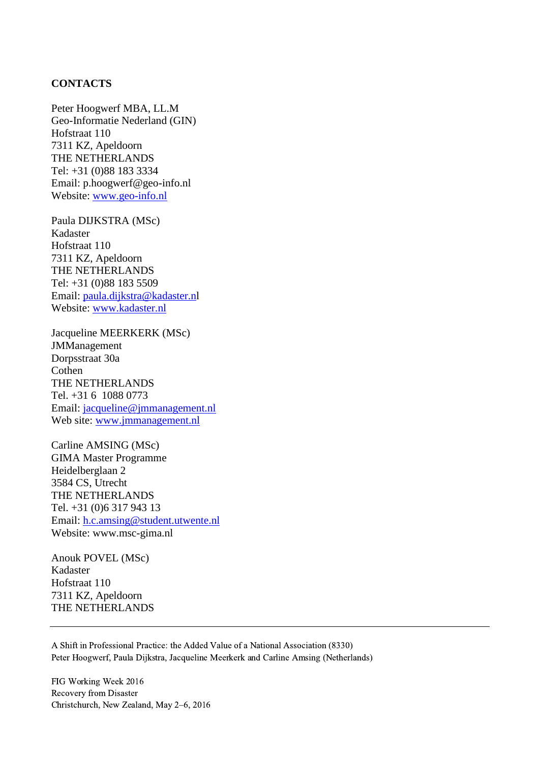#### **CONTACTS**

Peter Hoogwerf MBA, LL.M Geo-Informatie Nederland (GIN) Hofstraat 110 7311 KZ, Apeldoorn THE NETHERLANDS Tel: +31 (0)88 183 3334 Email: p.hoogwerf@geo-info.nl Website: [www.geo-info.nl](http://www.geo-info.nl/)

Paula DIJKSTRA (MSc) Kadaster Hofstraat 110 7311 KZ, Apeldoorn THE NETHERLANDS Tel: +31 (0)88 183 5509 Email: [paula.dijkstra@kadaster.nl](mailto:paula.dijkstra@kadaster.n) Website: [www.kadaster.nl](http://www.kadaster.nl/)

Jacqueline MEERKERK (MSc) JMManagement Dorpsstraat 30a Cothen THE NETHERLANDS Tel. +31 6 1088 0773 Email: [jacqueline@jmmanagement.nl](mailto:jacqueline@jmmanagement.nl)  Web site: [www.jmmanagement.nl](http://www.jmmanagement.nl/)

Carline AMSING (MSc) GIMA Master Programme Heidelberglaan 2 3584 CS, Utrecht THE NETHERLANDS Tel. +31 (0)6 317 943 13 Email: [h.c.amsing@student.utwente.nl](mailto:h.c.amsing@student.utwente.nl) Website: www.msc-gima.nl

Anouk POVEL (MSc) Kadaster Hofstraat 110 7311 KZ, Apeldoorn THE NETHERLANDS

A Shift in Professional Practice: the Added Value of a National Association (8330) Peter Hoogwerf, Paula Dijkstra, Jacqueline Meerkerk and Carline Amsing (Netherlands)